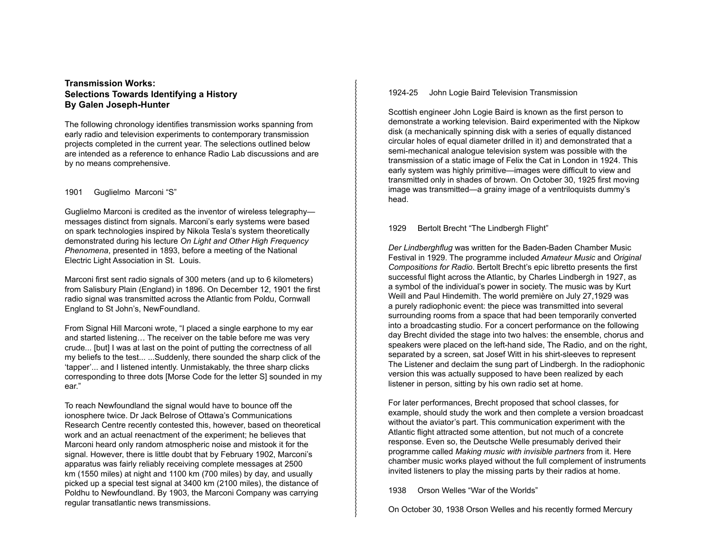# **Transmission Works: Selections Towards Identifying a History By Galen Joseph-Hunter**

The following chronology identifies transmission works spanning from early radio and television experiments to contemporary transmission projects completed in the current year. The selections outlined below are intended as a reference to enhance Radio Lab discussions and are by no means comprehensive.

## 1901 Guglielmo Marconi "S"

Guglielmo Marconi is credited as the inventor of wireless telegraphy messages distinct from signals. Marconi's early systems were based on spark technologies inspired by Nikola Tesla's system theoretically demonstrated during his lecture *On Light and Other High Frequency Phenomena*, presented in 1893, before a meeting of the National Electric Light Association in St. Louis.

Marconi first sent radio signals of 300 meters (and up to 6 kilometers) from Salisbury Plain (England) in 1896. On December 12, 1901 the first radio signal was transmitted across the Atlantic from Poldu, Cornwall England to St John's, NewFoundland.

From Signal Hill Marconi wrote, "I placed a single earphone to my ear and started listening… The receiver on the table before me was very crude... [but] I was at last on the point of putting the correctness of all my beliefs to the test... ...Suddenly, there sounded the sharp click of the 'tapper'... and I listened intently. Unmistakably, the three sharp clicks corresponding to three dots [Morse Code for the letter S] sounded in my ear."

To reach Newfoundland the signal would have to bounce off the ionosphere twice. Dr Jack Belrose of Ottawa's Communications Research Centre recently contested this, however, based on theoretical work and an actual reenactment of the experiment; he believes that Marconi heard only random atmospheric noise and mistook it for the signal. However, there is little doubt that by February 1902, Marconi's apparatus was fairly reliably receiving complete messages at 2500 km (1550 miles) at night and 1100 km (700 miles) by day, and usually picked up a special test signal at 3400 km (2100 miles), the distance of Poldhu to Newfoundland. By 1903, the Marconi Company was carrying regular transatlantic news transmissions.

### 1924-25 John Logie Baird Television Transmission

Scottish engineer John Logie Baird is known as the first person to demonstrate a working television. Baird experimented with the Nipkow disk (a mechanically spinning disk with a series of equally distanced circular holes of equal diameter drilled in it) and demonstrated that a semi-mechanical analogue television system was possible with the transmission of a static image of Felix the Cat in London in 1924. This early system was highly primitive—images were difficult to view and transmitted only in shades of brown. On October 30, 1925 first moving image was transmitted—a grainy image of a ventriloquists dummy's head.

#### 1929 Bertolt Brecht "The Lindbergh Flight"

*Der Lindberghflug* was written for the Baden-Baden Chamber Music Festival in 1929. The programme included *Amateur Music* and *Original Compositions for Radio*. Bertolt Brecht's epic libretto presents the first successful flight across the Atlantic, by Charles Lindbergh in 1927, as a symbol of the individual's power in society. The music was by Kurt Weill and Paul Hindemith. The world première on July 27,1929 was a purely radiophonic event: the piece was transmitted into several surrounding rooms from a space that had been temporarily converted into a broadcasting studio. For a concert performance on the following day Brecht divided the stage into two halves: the ensemble, chorus and speakers were placed on the left-hand side, The Radio, and on the right, separated by a screen, sat Josef Witt in his shirt-sleeves to represent The Listener and declaim the sung part of Lindbergh. In the radiophonic version this was actually supposed to have been realized by each listener in person, sitting by his own radio set at home.

For later performances, Brecht proposed that school classes, for example, should study the work and then complete a version broadcast without the aviator's part. This communication experiment with the Atlantic flight attracted some attention, but not much of a concrete response. Even so, the Deutsche Welle presumably derived their programme called *Making music with invisible partners* from it. Here chamber music works played without the full complement of instruments invited listeners to play the missing parts by their radios at home.

1938 Orson Welles "War of the Worlds"

On October 30, 1938 Orson Welles and his recently formed Mercury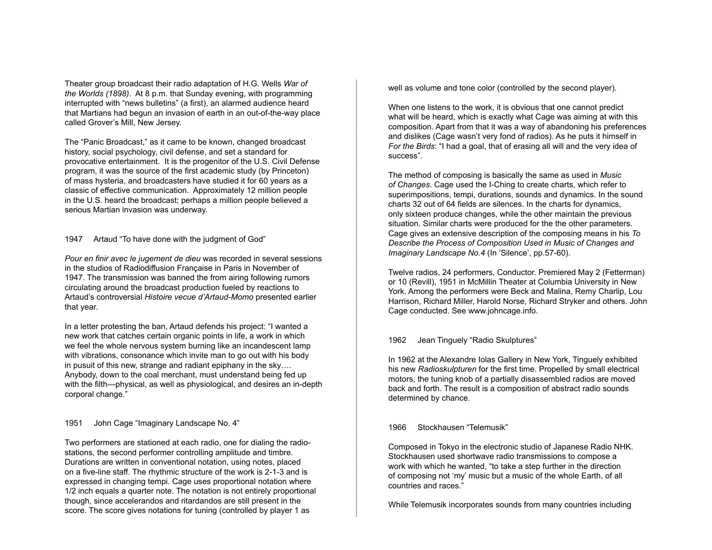Theater group broadcast their radio adaptation of H.G. Wells *War of the Worlds (1898).* At 8 p.m. that Sunday evening, with programming interrupted with "news bulletins" (a first), an alarmed audience heard that Martians had begun an invasion of earth in an out-of-the-way place called Grover's Mill, New Jersey.

The "Panic Broadcast," as it came to be known, changed broadcast history, social psychology, civil defense, and set a standard for provocative entertainment. It is the progenitor of the U.S. Civil Defense program, it was the source of the first academic study (by Princeton) of mass hysteria, and broadcasters have studied it for 60 years as a classic of effective communication. Approximately 12 million people in the U.S. heard the broadcast; perhaps a million people believed a serious Martian invasion was underway.

1947 Artaud "To have done with the judgment of God"

*Pour en finir avec le jugement de dieu* was recorded in several sessions in the studios of Radiodiffusion Française in Paris in November of 1947. The transmission was banned the from airing following rumors circulating around the broadcast production fueled by reactions to Artaud's controversial *Histoire vecue d'Artaud-Momo* presented earlier that year.

In a letter protesting the ban, Artaud defends his project: "I wanted a new work that catches certain organic points in life, a work in which we feel the whole nervous system burning like an incandescent lamp with vibrations, consonance which invite man to go out with his body in pusuit of this new, strange and radiant epiphany in the sky…. Anybody, down to the coal merchant, must understand being fed up with the filth—physical, as well as physiological, and desires an in-depth corporal change."

1951 John Cage "Imaginary Landscape No. 4"

Two performers are stationed at each radio, one for dialing the radiostations, the second performer controlling amplitude and timbre. Durations are written in conventional notation, using notes, placed on a five-line staff. The rhythmic structure of the work is 2-1-3 and is expressed in changing tempi. Cage uses proportional notation where 1/2 inch equals a quarter note. The notation is not entirely proportional though, since accelerandos and ritardandos are still present in the score. The score gives notations for tuning (controlled by player 1 as

well as volume and tone color (controlled by the second player).

When one listens to the work, it is obvious that one cannot predict what will be heard, which is exactly what Cage was aiming at with this composition. Apart from that it was a way of abandoning his preferences and dislikes (Cage wasn't very fond of radios). As he puts it himself in *For the Birds*: "I had a goal, that of erasing all will and the very idea of success".

The method of composing is basically the same as used in *Music of Changes*. Cage used the I-Ching to create charts, which refer to superimpositions, tempi, durations, sounds and dynamics. In the sound charts 32 out of 64 fields are silences. In the charts for dynamics, only sixteen produce changes, while the other maintain the previous situation. Similar charts were produced for the the other parameters. Cage gives an extensive description of the composing means in his *To Describe the Process of Composition Used in Music of Changes and Imaginary Landscape No.4* (In 'Silence', pp.57-60).

Twelve radios, 24 performers, Conductor. Premiered May 2 (Fetterman) or 10 (Revill), 1951 in McMillin Theater at Columbia University in New York. Among the performers were Beck and Malina, Remy Charlip, Lou Harrison, Richard Miller, Harold Norse, Richard Stryker and others. John Cage conducted. See www.johncage.info.

## 1962 Jean Tinguely "Radio Skulptures"

In 1962 at the Alexandre Iolas Gallery in New York, Tinguely exhibited his new *Radioskulpturen* for the first time. Propelled by small electrical motors, the tuning knob of a partially disassembled radios are moved back and forth. The result is a composition of abstract radio sounds determined by chance.

## 1966 Stockhausen "Telemusik"

Composed in Tokyo in the electronic studio of Japanese Radio NHK. Stockhausen used shortwave radio transmissions to compose a work with which he wanted, "to take a step further in the direction of composing not 'my' music but a music of the whole Earth, of all countries and races."

While Telemusik incorporates sounds from many countries including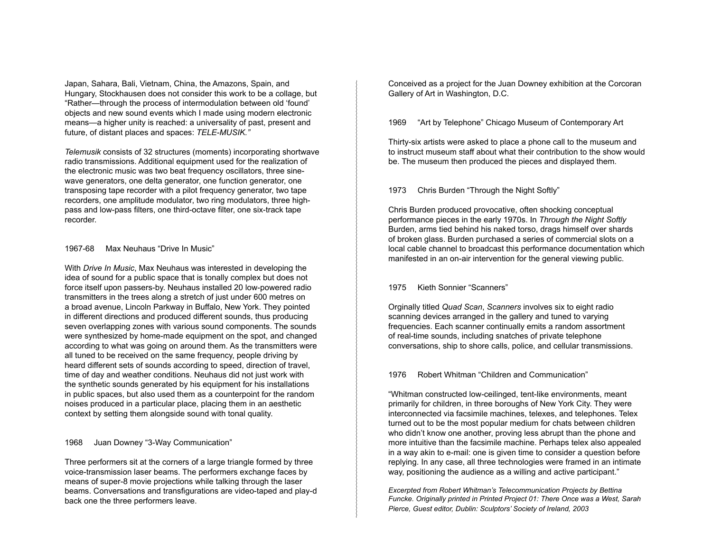Japan, Sahara, Bali, Vietnam, China, the Amazons, Spain, and Hungary, Stockhausen does not consider this work to be a collage, but "Rather—through the process of intermodulation between old 'found' objects and new sound events which I made using modern electronic means—a higher unity is reached: a universality of past, present and future, of distant places and spaces: *TELE-MUSIK."*

*Telemusik* consists of 32 structures (moments) incorporating shortwave radio transmissions. Additional equipment used for the realization of the electronic music was two beat frequency oscillators, three sinewave generators, one delta generator, one function generator, one transposing tape recorder with a pilot frequency generator, two tape recorders, one amplitude modulator, two ring modulators, three highpass and low-pass filters, one third-octave filter, one six-track tape recorder.

#### 1967-68 Max Neuhaus "Drive In Music"

With *Drive In Music*, Max Neuhaus was interested in developing the idea of sound for a public space that is tonally complex but does not force itself upon passers-by. Neuhaus installed 20 low-powered radio transmitters in the trees along a stretch of just under 600 metres on a broad avenue, Lincoln Parkway in Buffalo, New York. They pointed in different directions and produced different sounds, thus producing seven overlapping zones with various sound components. The sounds were synthesized by home-made equipment on the spot, and changed according to what was going on around them. As the transmitters were all tuned to be received on the same frequency, people driving by heard different sets of sounds according to speed, direction of travel, time of day and weather conditions. Neuhaus did not just work with the synthetic sounds generated by his equipment for his installations in public spaces, but also used them as a counterpoint for the random noises produced in a particular place, placing them in an aesthetic context by setting them alongside sound with tonal quality.

1968 Juan Downey "3-Way Communication"

Three performers sit at the corners of a large triangle formed by three voice-transmission laser beams. The performers exchange faces by means of super-8 movie projections while talking through the laser beams. Conversations and transfigurations are video-taped and play-d back one the three performers leave.

Conceived as a project for the Juan Downey exhibition at the Corcoran Gallery of Art in Washington, D.C.

1969 "Art by Telephone" Chicago Museum of Contemporary Art

Thirty-six artists were asked to place a phone call to the museum and to instruct museum staff about what their contribution to the show would be. The museum then produced the pieces and displayed them.

## 1973 Chris Burden "Through the Night Softly"

Chris Burden produced provocative, often shocking conceptual performance pieces in the early 1970s. In *Through the Night Softly*  Burden, arms tied behind his naked torso, drags himself over shards of broken glass. Burden purchased a series of commercial slots on a local cable channel to broadcast this performance documentation which manifested in an on-air intervention for the general viewing public.

# 1975 Kieth Sonnier "Scanners"

Orginally titled *Quad Scan*, *Scanners* involves six to eight radio scanning devices arranged in the gallery and tuned to varying frequencies. Each scanner continually emits a random assortment of real-time sounds, including snatches of private telephone conversations, ship to shore calls, police, and cellular transmissions.

## 1976 Robert Whitman "Children and Communication"

"Whitman constructed low-ceilinged, tent-like environments, meant primarily for children, in three boroughs of New York City. They were interconnected via facsimile machines, telexes, and telephones. Telex turned out to be the most popular medium for chats between children who didn't know one another, proving less abrupt than the phone and more intuitive than the facsimile machine. Perhaps telex also appealed in a way akin to e-mail: one is given time to consider a question before replying. In any case, all three technologies were framed in an intimate way, positioning the audience as a willing and active participant."

*Excerpted from Robert Whitman's Telecommunication Projects by Bettina Funcke. Originally printed in Printed Project 01: There Once was a West, Sarah Pierce, Guest editor, Dublin: Sculptors' Society of Ireland, 2003*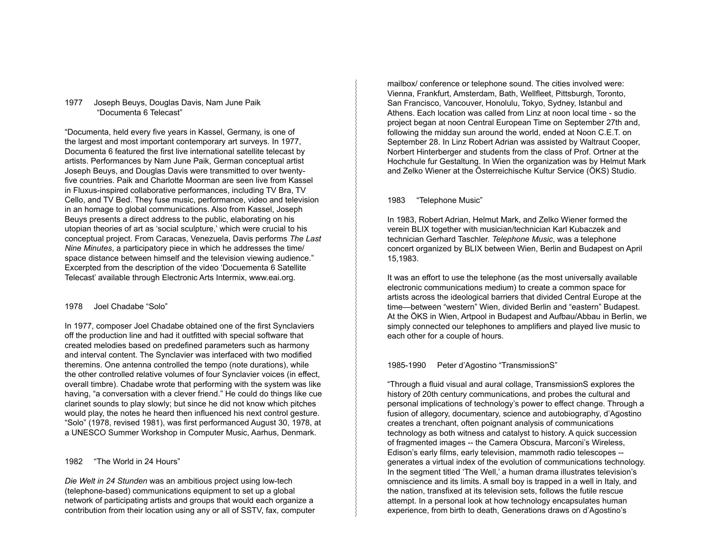### 1977 Joseph Beuys, Douglas Davis, Nam June Paik "Documenta 6 Telecast"

"Documenta, held every five years in Kassel, Germany, is one of the largest and most important contemporary art surveys. In 1977, Documenta 6 featured the first live international satellite telecast by artists. Performances by Nam June Paik, German conceptual artist Joseph Beuys, and Douglas Davis were transmitted to over twentyfive countries. Paik and Charlotte Moorman are seen live from Kassel in Fluxus-inspired collaborative performances, including TV Bra, TV Cello, and TV Bed. They fuse music, performance, video and television in an homage to global communications. Also from Kassel, Joseph Beuys presents a direct address to the public, elaborating on his utopian theories of art as 'social sculpture,' which were crucial to his conceptual project. From Caracas, Venezuela, Davis performs *The Last Nine Minutes*, a participatory piece in which he addresses the time/ space distance between himself and the television viewing audience." Excerpted from the description of the video 'Docuementa 6 Satellite Telecast' available through Electronic Arts Intermix, www.eai.org.

#### 1978 Joel Chadabe "Solo"

In 1977, composer Joel Chadabe obtained one of the first Synclaviers off the production line and had it outfitted with special software that created melodies based on predefined parameters such as harmony and interval content. The Synclavier was interfaced with two modified theremins. One antenna controlled the tempo (note durations), while the other controlled relative volumes of four Synclavier voices (in effect, overall timbre). Chadabe wrote that performing with the system was like having, "a conversation with a clever friend." He could do things like cue clarinet sounds to play slowly; but since he did not know which pitches would play, the notes he heard then influenced his next control gesture. "Solo" (1978, revised 1981), was first performanced August 30, 1978, at a UNESCO Summer Workshop in Computer Music, Aarhus, Denmark.

## 1982 "The World in 24 Hours"

*Die Welt in 24 Stunden* was an ambitious project using low-tech (telephone-based) communications equipment to set up a global network of participating artists and groups that would each organize a contribution from their location using any or all of SSTV, fax, computer mailbox/ conference or telephone sound. The cities involved were: Vienna, Frankfurt, Amsterdam, Bath, Wellfleet, Pittsburgh, Toronto, San Francisco, Vancouver, Honolulu, Tokyo, Sydney, Istanbul and Athens. Each location was called from Linz at noon local time - so the project began at noon Central European Time on September 27th and, following the midday sun around the world, ended at Noon C.E.T. on September 28. In Linz Robert Adrian was assisted by Waltraut Cooper, Norbert Hinterberger and students from the class of Prof. Ortner at the Hochchule fur Gestaltung. In Wien the organization was by Helmut Mark and Zelko Wiener at the Österreichische Kultur Service (ÖKS) Studio.

## 1983 "Telephone Music"

In 1983, Robert Adrian, Helmut Mark, and Zelko Wiener formed the verein BLIX together with musician/technician Karl Kubaczek and technician Gerhard Taschler. *Telephone Music*, was a telephone concert organized by BLIX between Wien, Berlin and Budapest on April 15,1983.

It was an effort to use the telephone (as the most universally available electronic communications medium) to create a common space for artists across the ideological barriers that divided Central Europe at the time—between "western" Wien, divided Berlin and "eastern" Budapest. At the ÖKS in Wien, Artpool in Budapest and Aufbau/Abbau in Berlin, we simply connected our telephones to amplifiers and played live music to each other for a couple of hours.

### 1985-1990 Peter d'Agostino "TransmissionS"

"Through a fluid visual and aural collage, TransmissionS explores the history of 20th century communications, and probes the cultural and personal implications of technology's power to effect change. Through a fusion of allegory, documentary, science and autobiography, d'Agostino creates a trenchant, often poignant analysis of communications technology as both witness and catalyst to history. A quick succession of fragmented images -- the Camera Obscura, Marconi's Wireless, Edison's early films, early television, mammoth radio telescopes - generates a virtual index of the evolution of communications technology. In the segment titled 'The Well,' a human drama illustrates television's omniscience and its limits. A small boy is trapped in a well in Italy, and the nation, transfixed at its television sets, follows the futile rescue attempt. In a personal look at how technology encapsulates human experience, from birth to death, Generations draws on d'Agostino's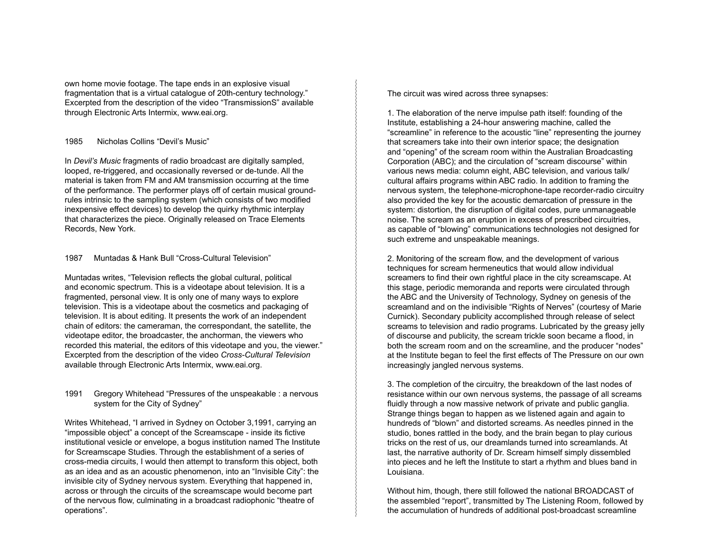own home movie footage. The tape ends in an explosive visual fragmentation that is a virtual catalogue of 20th-century technology." Excerpted from the description of the video "TransmissionS" available through Electronic Arts Intermix, www.eai.org.

### 1985 Nicholas Collins "Devil's Music"

In *Devil's Music* fragments of radio broadcast are digitally sampled, looped, re-triggered, and occasionally reversed or de-tunde. All the material is taken from FM and AM transmission occurring at the time of the performance. The performer plays off of certain musical groundrules intrinsic to the sampling system (which consists of two modified inexpensive effect devices) to develop the quirky rhythmic interplay that characterizes the piece. Originally released on Trace Elements Records, New York.

### 1987 Muntadas & Hank Bull "Cross-Cultural Television"

Muntadas writes, "Television reflects the global cultural, political and economic spectrum. This is a videotape about television. It is a fragmented, personal view. It is only one of many ways to explore television. This is a videotape about the cosmetics and packaging of television. It is about editing. It presents the work of an independent chain of editors: the cameraman, the correspondant, the satellite, the videotape editor, the broadcaster, the anchorman, the viewers who recorded this material, the editors of this videotape and you, the viewer." Excerpted from the description of the video *Cross-Cultural Television*  available through Electronic Arts Intermix, www.eai.org.

### 1991 Gregory Whitehead "Pressures of the unspeakable : a nervous system for the City of Sydney"

Writes Whitehead, "I arrived in Sydney on October 3,1991, carrying an "impossible object" a concept of the Screamscape - inside its fictive institutional vesicle or envelope, a bogus institution named The Institute for Screamscape Studies. Through the establishment of a series of cross-media circuits, I would then attempt to transform this object, both as an idea and as an acoustic phenomenon, into an "Invisible City": the invisible city of Sydney nervous system. Everything that happened in, across or through the circuits of the screamscape would become part of the nervous flow, culminating in a broadcast radiophonic "theatre of operations".

The circuit was wired across three synapses:

1. The elaboration of the nerve impulse path itself: founding of the Institute, establishing a 24-hour answering machine, called the "screamline" in reference to the acoustic "line" representing the journey that screamers take into their own interior space; the designation and "opening" of the scream room within the Australian Broadcasting Corporation (ABC); and the circulation of "scream discourse" within various news media: column eight, ABC television, and various talk/ cultural affairs programs within ABC radio. In addition to framing the nervous system, the telephone-microphone-tape recorder-radio circuitry also provided the key for the acoustic demarcation of pressure in the system: distortion, the disruption of digital codes, pure unmanageable noise. The scream as an eruption in excess of prescribed circuitries, as capable of "blowing" communications technologies not designed for such extreme and unspeakable meanings.

2. Monitoring of the scream flow, and the development of various techniques for scream hermeneutics that would allow individual screamers to find their own rightful place in the city screamscape. At this stage, periodic memoranda and reports were circulated through the ABC and the University of Technology, Sydney on genesis of the screamland and on the indivisible "Rights of Nerves" (courtesy of Marie Curnick). Secondary publicity accomplished through release of select screams to television and radio programs. Lubricated by the greasy jelly of discourse and publicity, the scream trickle soon became a flood, in both the scream room and on the screamline, and the producer "nodes" at the Institute began to feel the first effects of The Pressure on our own increasingly jangled nervous systems.

3. The completion of the circuitry, the breakdown of the last nodes of resistance within our own nervous systems, the passage of all screams fluidly through a now massive network of private and public ganglia. Strange things began to happen as we listened again and again to hundreds of "blown" and distorted screams. As needles pinned in the studio, bones rattled in the body, and the brain began to play curious tricks on the rest of us, our dreamlands turned into screamlands. At last, the narrative authority of Dr. Scream himself simply dissembled into pieces and he left the Institute to start a rhythm and blues band in Louisiana.

Without him, though, there still followed the national BROADCAST of the assembled "report", transmitted by The Listening Room, followed by the accumulation of hundreds of additional post-broadcast screamline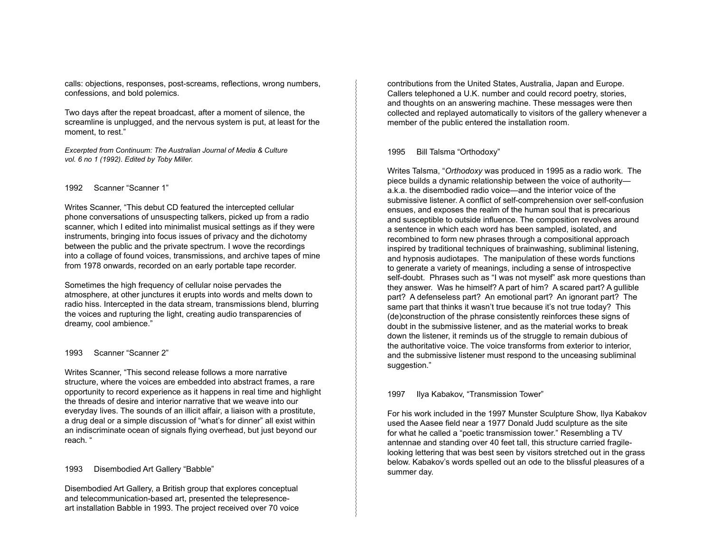calls: objections, responses, post-screams, reflections, wrong numbers, confessions, and bold polemics.

Two days after the repeat broadcast, after a moment of silence, the screamline is unplugged, and the nervous system is put, at least for the moment, to rest."

*Excerpted from Continuum: The Australian Journal of Media & Culture vol. 6 no 1 (1992). Edited by Toby Miller.*

#### 1992 Scanner "Scanner 1"

Writes Scanner, "This debut CD featured the intercepted cellular phone conversations of unsuspecting talkers, picked up from a radio scanner, which I edited into minimalist musical settings as if they were instruments, bringing into focus issues of privacy and the dichotomy between the public and the private spectrum. I wove the recordings into a collage of found voices, transmissions, and archive tapes of mine from 1978 onwards, recorded on an early portable tape recorder.

Sometimes the high frequency of cellular noise pervades the atmosphere, at other junctures it erupts into words and melts down to radio hiss. Intercepted in the data stream, transmissions blend, blurring the voices and rupturing the light, creating audio transparencies of dreamy, cool ambience."

#### 1993 Scanner "Scanner 2"

Writes Scanner, "This second release follows a more narrative structure, where the voices are embedded into abstract frames, a rare opportunity to record experience as it happens in real time and highlight the threads of desire and interior narrative that we weave into our everyday lives. The sounds of an illicit affair, a liaison with a prostitute, a drug deal or a simple discussion of "what's for dinner" all exist within an indiscriminate ocean of signals flying overhead, but just beyond our reach. "

1993 Disembodied Art Gallery "Babble"

Disembodied Art Gallery, a British group that explores conceptual and telecommunication-based art, presented the telepresenceart installation Babble in 1993. The project received over 70 voice contributions from the United States, Australia, Japan and Europe. Callers telephoned a U.K. number and could record poetry, stories, and thoughts on an answering machine. These messages were then collected and replayed automatically to visitors of the gallery whenever a member of the public entered the installation room.

### 1995 Bill Talsma "Orthodoxy"

Writes Talsma, "*Orthodoxy* was produced in 1995 as a radio work. The piece builds a dynamic relationship between the voice of authority a.k.a. the disembodied radio voice—and the interior voice of the submissive listener. A conflict of self-comprehension over self-confusion ensues, and exposes the realm of the human soul that is precarious and susceptible to outside influence. The composition revolves around a sentence in which each word has been sampled, isolated, and recombined to form new phrases through a compositional approach inspired by traditional techniques of brainwashing, subliminal listening, and hypnosis audiotapes. The manipulation of these words functions to generate a variety of meanings, including a sense of introspective self-doubt. Phrases such as "I was not myself" ask more questions than they answer. Was he himself? A part of him? A scared part? A gullible part? A defenseless part? An emotional part? An ignorant part? The same part that thinks it wasn't true because it's not true today? This (de)construction of the phrase consistently reinforces these signs of doubt in the submissive listener, and as the material works to break down the listener, it reminds us of the struggle to remain dubious of the authoritative voice. The voice transforms from exterior to interior, and the submissive listener must respond to the unceasing subliminal suggestion."

#### 1997 Ilya Kabakov, "Transmission Tower"

For his work included in the 1997 Munster Sculpture Show, Ilya Kabakov used the Aasee field near a 1977 Donald Judd sculpture as the site for what he called a "poetic transmission tower." Resembling a TV antennae and standing over 40 feet tall, this structure carried fragilelooking lettering that was best seen by visitors stretched out in the grass below. Kabakov's words spelled out an ode to the blissful pleasures of a summer day.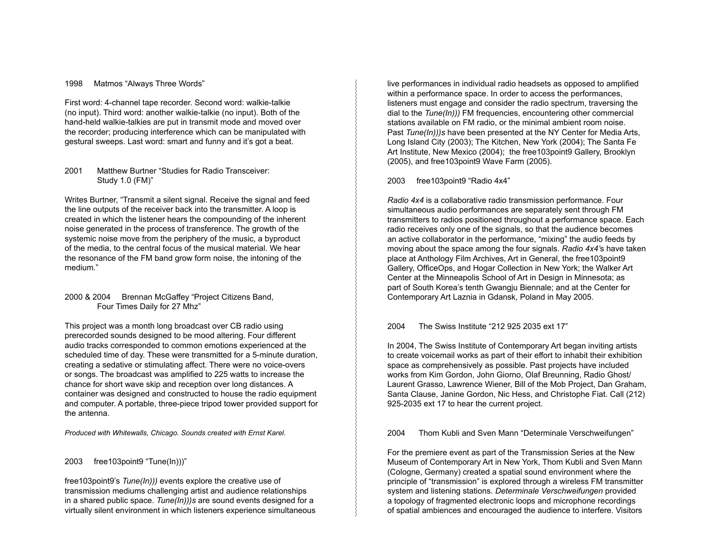#### 1998 Matmos "Always Three Words"

First word: 4-channel tape recorder. Second word: walkie-talkie (no input). Third word: another walkie-talkie (no input). Both of the hand-held walkie-talkies are put in transmit mode and moved over the recorder; producing interference which can be manipulated with gestural sweeps. Last word: smart and funny and it's got a beat.

### 2001 Matthew Burtner "Studies for Radio Transceiver: Study 1.0 (FM)"

Writes Burtner, "Transmit a silent signal. Receive the signal and feed the line outputs of the receiver back into the transmitter. A loop is created in which the listener hears the compounding of the inherent noise generated in the process of transference. The growth of the systemic noise move from the periphery of the music, a byproduct of the media, to the central focus of the musical material. We hear the resonance of the FM band grow form noise, the intoning of the medium."

### 2000 & 2004 Brennan McGaffey "Project Citizens Band, Four Times Daily for 27 Mhz"

This project was a month long broadcast over CB radio using prerecorded sounds designed to be mood altering. Four different audio tracks corresponded to common emotions experienced at the scheduled time of day. These were transmitted for a 5-minute duration, creating a sedative or stimulating affect. There were no voice-overs or songs. The broadcast was amplified to 225 watts to increase the chance for short wave skip and reception over long distances. A container was designed and constructed to house the radio equipment and computer. A portable, three-piece tripod tower provided support for the antenna.

*Produced with Whitewalls, Chicago. Sounds created with Ernst Karel.*

2003 free103point9 "Tune(In)))"

free103point9's *Tune(In)))* events explore the creative use of transmission mediums challenging artist and audience relationships in a shared public space. *Tune(In)))s* are sound events designed for a virtually silent environment in which listeners experience simultaneous live performances in individual radio headsets as opposed to amplified within a performance space. In order to access the performances, listeners must engage and consider the radio spectrum, traversing the dial to the *Tune(In)))* FM frequencies, encountering other commercial stations available on FM radio, or the minimal ambient room noise. Past *Tune(In)))s* have been presented at the NY Center for Media Arts, Long Island City (2003); The Kitchen, New York (2004); The Santa Fe Art Institute, New Mexico (2004); the free103point9 Gallery, Brooklyn (2005), and free103point9 Wave Farm (2005).

2003 free103point9 "Radio 4x4"

*Radio 4x4* is a collaborative radio transmission performance. Four simultaneous audio performances are separately sent through FM transmitters to radios positioned throughout a performance space. Each radio receives only one of the signals, so that the audience becomes an active collaborator in the performance, "mixing" the audio feeds by moving about the space among the four signals. *Radio 4x4'*s have taken place at Anthology Film Archives, Art in General, the free103point9 Gallery, OfficeOps, and Hogar Collection in New York; the Walker Art Center at the Minneapolis School of Art in Design in Minnesota; as part of South Korea's tenth Gwangju Biennale; and at the Center for Contemporary Art Laznia in Gdansk, Poland in May 2005.

2004 The Swiss Institute "212 925 2035 ext 17"

In 2004, The Swiss Institute of Contemporary Art began inviting artists to create voicemail works as part of their effort to inhabit their exhibition space as comprehensively as possible. Past projects have included works from Kim Gordon, John Giorno, Olaf Breunning, Radio Ghost/ Laurent Grasso, Lawrence Wiener, Bill of the Mob Project, Dan Graham, Santa Clause, Janine Gordon, Nic Hess, and Christophe Fiat. Call (212) 925-2035 ext 17 to hear the current project.

2004 Thom Kubli and Sven Mann "Determinale Verschweifungen"

For the premiere event as part of the Transmission Series at the New Museum of Contemporary Art in New York, Thom Kubli and Sven Mann (Cologne, Germany) created a spatial sound environment where the principle of "transmission" is explored through a wireless FM transmitter system and listening stations. *Determinale Verschweifungen* provided a topology of fragmented electronic loops and microphone recordings of spatial ambiences and encouraged the audience to interfere. Visitors